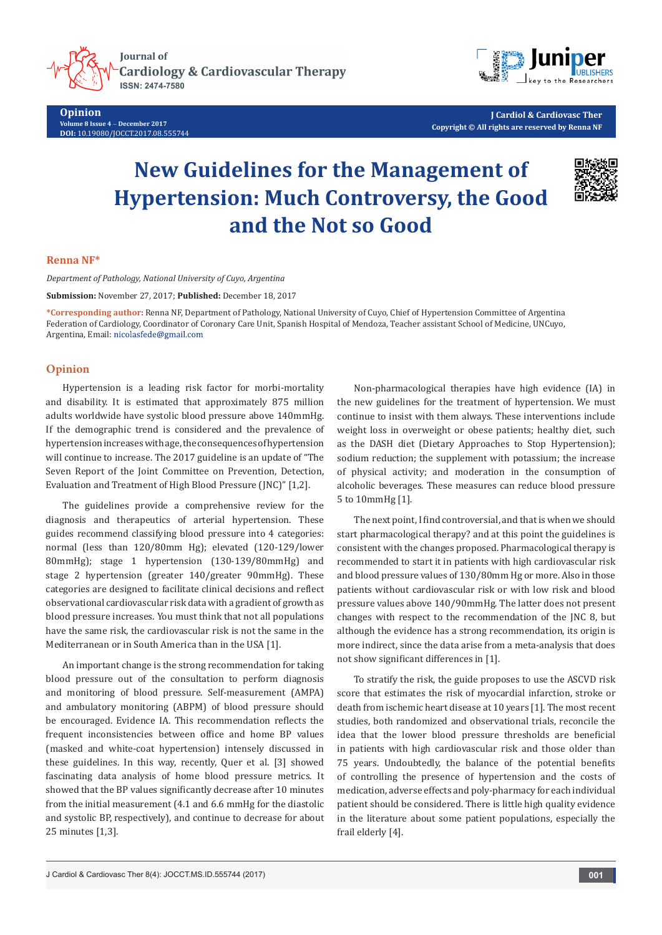

**Opinion Volume 8 Issue 4** - **December 2017 DOI:** [10.19080/JOCCT.2017.08.555744](http://dx.doi.org/10.19080/JOCCT.2017.08.555744)



**J Cardiol & Cardiovasc Ther Copyright © All rights are reserved by Renna NF**

# **New Guidelines for the Management of Hypertension: Much Controversy, the Good and the Not so Good**



## **Renna NF\***

*Department of Pathology, National University of Cuyo, Argentina*

**Submission:** November 27, 2017; **Published:** December 18, 2017

**\*Corresponding author:** Renna NF, Department of Pathology, National University of Cuyo, Chief of Hypertension Committee of Argentina Federation of Cardiology, Coordinator of Coronary Care Unit, Spanish Hospital of Mendoza, Teacher assistant School of Medicine, UNCuyo, Argentina, Email: nicolasfede@gmail.com

## **Opinion**

Hypertension is a leading risk factor for morbi-mortality and disability. It is estimated that approximately 875 million adults worldwide have systolic blood pressure above 140mmHg. If the demographic trend is considered and the prevalence of hypertension increases with age, the consequences of hypertension will continue to increase. The 2017 guideline is an update of "The Seven Report of the Joint Committee on Prevention, Detection, Evaluation and Treatment of High Blood Pressure (JNC)" [1,2].

The guidelines provide a comprehensive review for the diagnosis and therapeutics of arterial hypertension. These guides recommend classifying blood pressure into 4 categories: normal (less than 120/80mm Hg); elevated (120-129/lower 80mmHg); stage 1 hypertension (130-139/80mmHg) and stage 2 hypertension (greater 140/greater 90mmHg). These categories are designed to facilitate clinical decisions and reflect observational cardiovascular risk data with a gradient of growth as blood pressure increases. You must think that not all populations have the same risk, the cardiovascular risk is not the same in the Mediterranean or in South America than in the USA [1].

An important change is the strong recommendation for taking blood pressure out of the consultation to perform diagnosis and monitoring of blood pressure. Self-measurement (AMPA) and ambulatory monitoring (ABPM) of blood pressure should be encouraged. Evidence IA. This recommendation reflects the frequent inconsistencies between office and home BP values (masked and white-coat hypertension) intensely discussed in these guidelines. In this way, recently, Quer et al. [3] showed fascinating data analysis of home blood pressure metrics. It showed that the BP values significantly decrease after 10 minutes from the initial measurement (4.1 and 6.6 mmHg for the diastolic and systolic BP, respectively), and continue to decrease for about 25 minutes [1,3].

Non-pharmacological therapies have high evidence (IA) in the new guidelines for the treatment of hypertension. We must continue to insist with them always. These interventions include weight loss in overweight or obese patients; healthy diet, such as the DASH diet (Dietary Approaches to Stop Hypertension); sodium reduction; the supplement with potassium; the increase of physical activity; and moderation in the consumption of alcoholic beverages. These measures can reduce blood pressure 5 to 10mmHg [1].

The next point, I find controversial, and that is when we should start pharmacological therapy? and at this point the guidelines is consistent with the changes proposed. Pharmacological therapy is recommended to start it in patients with high cardiovascular risk and blood pressure values of 130/80mm Hg or more. Also in those patients without cardiovascular risk or with low risk and blood pressure values above 140/90mmHg. The latter does not present changes with respect to the recommendation of the JNC 8, but although the evidence has a strong recommendation, its origin is more indirect, since the data arise from a meta-analysis that does not show significant differences in [1].

To stratify the risk, the guide proposes to use the ASCVD risk score that estimates the risk of myocardial infarction, stroke or death from ischemic heart disease at 10 years [1]. The most recent studies, both randomized and observational trials, reconcile the idea that the lower blood pressure thresholds are beneficial in patients with high cardiovascular risk and those older than 75 years. Undoubtedly, the balance of the potential benefits of controlling the presence of hypertension and the costs of medication, adverse effects and poly-pharmacy for each individual patient should be considered. There is little high quality evidence in the literature about some patient populations, especially the frail elderly [4].